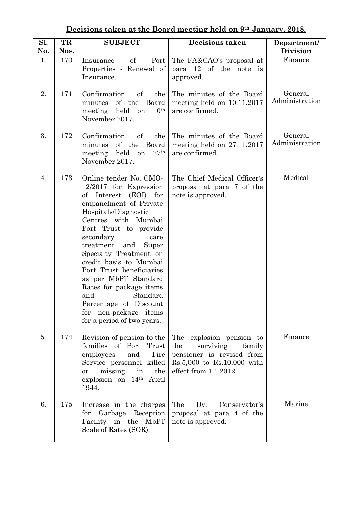| Sl.<br>No. | TR<br>Nos. | <b>SUBJECT</b>                                                                                                                                                                                                                                                                                                                                                                                                                                                            | <b>Decisions taken</b>                                                                                                                            | Department/<br><b>Division</b> |
|------------|------------|---------------------------------------------------------------------------------------------------------------------------------------------------------------------------------------------------------------------------------------------------------------------------------------------------------------------------------------------------------------------------------------------------------------------------------------------------------------------------|---------------------------------------------------------------------------------------------------------------------------------------------------|--------------------------------|
| 1.         | 170        | $\sigma$<br>Port<br>Insurance<br>Properties - Renewal of<br>Insurance.                                                                                                                                                                                                                                                                                                                                                                                                    | The FA&CAO's proposal at<br>para 12 of the note is<br>approved.                                                                                   | Finance                        |
| 2.         | 171        | of<br>Confirmation<br>the<br>of the<br>Board<br>minutes<br>held<br>10 <sup>th</sup><br>meeting<br>on<br>November 2017.                                                                                                                                                                                                                                                                                                                                                    | The minutes of the Board<br>meeting held on 10.11.2017<br>are confirmed.                                                                          | General<br>Administration      |
| 3.         | 172        | Confirmation<br>of<br>the<br>of the<br>Board<br>minutes<br>meeting held<br>27 <sup>th</sup><br>on<br>November 2017.                                                                                                                                                                                                                                                                                                                                                       | The minutes of the Board<br>meeting held on $27.11.2017$<br>are confirmed.                                                                        | General<br>Administration      |
| 4.         | 173        | Online tender No. CMO-<br>12/2017 for Expression<br>of Interest<br>$(EOI)$ for<br>empanelment of Private<br>Hospitals/Diagnostic<br>Centres with Mumbai<br>Port Trust to provide<br>secondary<br>care<br>treatment<br>and<br>Super<br>Specialty Treatment on<br>credit basis to Mumbai<br>Port Trust beneficiaries<br>as per MbPT Standard<br>Rates for package items<br>Standard<br>and<br>Percentage of Discount<br>for non-package items<br>for a period of two years. | The Chief Medical Officer's<br>proposal at para 7 of the<br>note is approved.                                                                     | Medical                        |
| 5.         | 174        | Revision of pension to the<br>families of Port Trust<br>Fire<br>employees<br>and<br>Service personnel killed<br>missing<br>in<br>the<br>or<br>explosion on 14th April<br>1944.                                                                                                                                                                                                                                                                                            | The explosion pension to<br>surviving<br>family<br>the<br>pensioner is revised from<br>$Rs.5,000$ to $Rs.10,000$ with<br>effect from $1.1.2012$ . | Finance                        |
| 6.         | 175        | Increase in the charges<br>Garbage Reception<br>for<br>Facility in the MbPT<br>Scale of Rates (SOR).                                                                                                                                                                                                                                                                                                                                                                      | The<br>Conservator's<br>Dy.<br>proposal at para 4 of the<br>note is approved.                                                                     | Marine                         |

## **Decisions taken at the Board meeting held on 9th January, 2018.**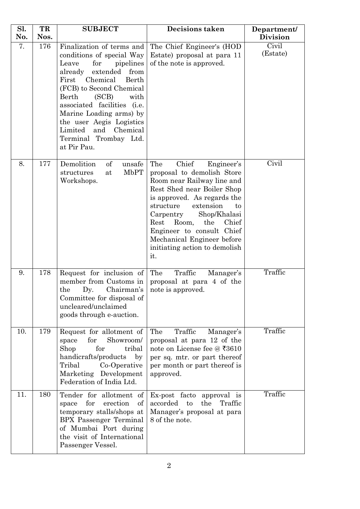| Sl. | TR   | <b>SUBJECT</b>                                                                                                                                                                                                                                                                                                                                                  | <b>Decisions taken</b>                                                                                                                                                                                                                                                                                                                               | Department/       |
|-----|------|-----------------------------------------------------------------------------------------------------------------------------------------------------------------------------------------------------------------------------------------------------------------------------------------------------------------------------------------------------------------|------------------------------------------------------------------------------------------------------------------------------------------------------------------------------------------------------------------------------------------------------------------------------------------------------------------------------------------------------|-------------------|
| No. | Nos. |                                                                                                                                                                                                                                                                                                                                                                 |                                                                                                                                                                                                                                                                                                                                                      | <b>Division</b>   |
| 7.  | 176  | Finalization of terms and<br>conditions of special Way<br>Leave<br>for<br>pipelines<br>already<br>extended<br>from<br>Chemical<br>First<br>Berth<br>(FCB) to Second Chemical<br>Berth<br>(SCB)<br>with<br>associated facilities (i.e.<br>Marine Loading arms) by<br>the user Aegis Logistics<br>Limited<br>and Chemical<br>Terminal Trombay Ltd.<br>at Pir Pau. | The Chief Engineer's (HOD<br>Estate) proposal at para 11<br>of the note is approved.                                                                                                                                                                                                                                                                 | Civil<br>(Estate) |
| 8.  | 177  | Demolition<br>of<br>unsafe<br><b>MbPT</b><br>structures<br>at<br>Workshops.                                                                                                                                                                                                                                                                                     | The<br>Chief<br>Engineer's<br>proposal to demolish Store<br>Room near Railway line and<br>Rest Shed near Boiler Shop<br>is approved. As regards the<br>extension<br>structure<br>to<br>Carpentry<br>Shop/Khalasi<br>Room,<br>the<br>Chief<br>Rest<br>Engineer to consult Chief<br>Mechanical Engineer before<br>initiating action to demolish<br>it. | Civil             |
| 9.  | 178  | Request for inclusion of<br>member from Customs in<br>the<br>Dy.<br>Chairman's<br>Committee for disposal of<br>uncleared/unclaimed<br>goods through e-auction.                                                                                                                                                                                                  | The<br>Traffic<br>Manager's<br>proposal at para 4 of the<br>note is approved.                                                                                                                                                                                                                                                                        | Traffic           |
| 10. | 179  | Request for allotment of<br>Showroom/<br>for<br>space<br>Shop<br>for<br>tribal<br>handicrafts/products<br>by<br>Tribal<br>Co-Operative<br>Marketing Development<br>Federation of India Ltd.                                                                                                                                                                     | Traffic<br>The<br>Manager's<br>proposal at para 12 of the<br>note on License fee @ ₹3610<br>per sq. mtr. or part thereof<br>per month or part thereof is<br>approved.                                                                                                                                                                                | Traffic           |
| 11. | 180  | Tender for allotment of<br>for<br>erection<br>of<br>space<br>temporary stalls/shops at<br>BPX Passenger Terminal<br>of Mumbai Port during<br>the visit of International<br>Passenger Vessel.                                                                                                                                                                    | Ex-post facto approval is<br>accorded<br>to<br>the<br>Traffic<br>Manager's proposal at para<br>8 of the note.                                                                                                                                                                                                                                        | Traffic           |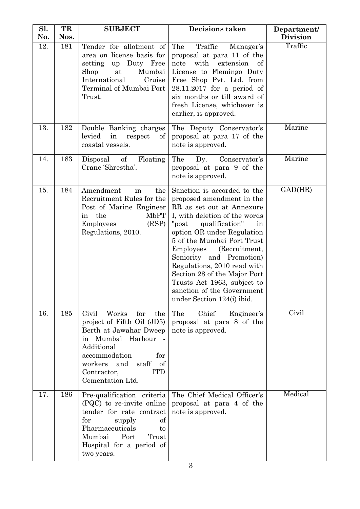| Sl.<br>No. | TR<br>Nos. | <b>SUBJECT</b>                                                                                                                                                                                                                       | <b>Decisions taken</b>                                                                                                                                                                                                                                                                                                                                                                                                                    | Department/<br><b>Division</b> |
|------------|------------|--------------------------------------------------------------------------------------------------------------------------------------------------------------------------------------------------------------------------------------|-------------------------------------------------------------------------------------------------------------------------------------------------------------------------------------------------------------------------------------------------------------------------------------------------------------------------------------------------------------------------------------------------------------------------------------------|--------------------------------|
| 12.        | 181        | Tender for allotment of<br>area on license basis for<br>Duty Free<br>setting<br>up<br>Mumbai<br>Shop<br>at<br>International<br>Cruise<br>Terminal of Mumbai Port<br>Trust.                                                           | The<br>Traffic<br>Manager's<br>proposal at para 11 of the<br>note<br>extension<br>with<br>of<br>License to Flemingo Duty<br>Free Shop Pvt. Ltd. from<br>$28.11.2017$ for a period of<br>six months or till award of<br>fresh License, whichever is<br>earlier, is approved.                                                                                                                                                               | Traffic                        |
| 13.        | 182        | Double Banking charges<br>levied<br>in<br>respect<br>οf<br>coastal vessels.                                                                                                                                                          | The Deputy Conservator's<br>proposal at para 17 of the<br>note is approved.                                                                                                                                                                                                                                                                                                                                                               | Marine                         |
| 14.        | 183        | Disposal of<br>Floating<br>Crane 'Shrestha'.                                                                                                                                                                                         | The<br>Dy.<br>Conservator's<br>proposal at para 9 of the<br>note is approved.                                                                                                                                                                                                                                                                                                                                                             | Marine                         |
| 15.        | 184        | Amendment<br>in<br>the<br>Recruitment Rules for the<br>Post of Marine Engineer<br>the<br><b>MbPT</b><br>in<br>(RSP)<br>Employees<br>Regulations, 2010.                                                                               | Sanction is accorded to the<br>proposed amendment in the<br>RR as set out at Annexure<br>I, with deletion of the words<br>qualification"<br>"post<br>in<br>option OR under Regulation<br>5 of the Mumbai Port Trust<br>Employees<br>(Recruitment,<br>Seniority and Promotion)<br>Regulations, 2010 read with<br>Section 28 of the Major Port<br>Trusts Act 1963, subject to<br>sanction of the Government<br>under Section $124(i)$ ibid. | GAD(HR)                        |
| 16.        | 185        | Civil<br>Works<br>for<br>the<br>project of Fifth Oil (JD5)<br>Berth at Jawahar Dweep<br>Mumbai Harbour<br>in<br>Additional<br>accommodation<br>for<br>workers<br>staff<br>and<br>of<br><b>ITD</b><br>Contractor,<br>Cementation Ltd. | The<br>Chief<br>Engineer's<br>proposal at para 8 of the<br>note is approved.                                                                                                                                                                                                                                                                                                                                                              | Civil                          |
| 17.        | 186        | Pre-qualification criteria<br>(PQC) to re-invite online<br>tender for rate contract<br>for<br>of<br>supply<br>Pharmaceuticals<br>to<br>Port<br>Mumbai<br>Trust<br>Hospital for a period of<br>two years.                             | The Chief Medical Officer's<br>proposal at para 4 of the<br>note is approved.                                                                                                                                                                                                                                                                                                                                                             | Medical                        |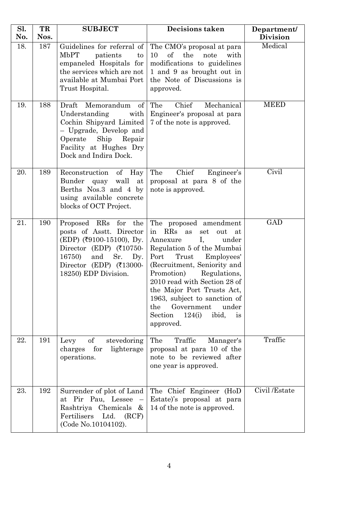| Sl.<br>No. | TR<br>Nos. | <b>SUBJECT</b>                                                                                                                                                                                                                       | <b>Decisions taken</b>                                                                                                                                                                                                                                                                                                                                                                       | Department/<br><b>Division</b> |
|------------|------------|--------------------------------------------------------------------------------------------------------------------------------------------------------------------------------------------------------------------------------------|----------------------------------------------------------------------------------------------------------------------------------------------------------------------------------------------------------------------------------------------------------------------------------------------------------------------------------------------------------------------------------------------|--------------------------------|
| 18.        | 187        | Guidelines for referral of<br>MbPT<br>patients<br>to<br>empaneled Hospitals for<br>the services which are not<br>available at Mumbai Port<br>Trust Hospital.                                                                         | The CMO's proposal at para<br>$\sigma f$<br>the<br>10<br>note<br>with<br>modifications to guidelines<br>1 and 9 as brought out in<br>the Note of Discussions is<br>approved.                                                                                                                                                                                                                 | Medical                        |
| 19.        | 188        | Draft<br>Memorandum<br>$% \left( \left( \mathcal{A}\right) \right)$ of<br>Understanding<br>with<br>Cochin Shipyard Limited<br>- Upgrade, Develop and<br>Operate<br>Ship<br>Repair<br>Facility at Hughes Dry<br>Dock and Indira Dock. | The<br>Chief<br>Mechanical<br>Engineer's proposal at para<br>7 of the note is approved.                                                                                                                                                                                                                                                                                                      | <b>MEED</b>                    |
| 20.        | 189        | Reconstruction<br>of Hay<br>Bunder<br>quay<br>wall<br>at<br>Berths Nos.3 and 4 by<br>using available concrete<br>blocks of OCT Project.                                                                                              | The<br>Chief<br>Engineer's<br>proposal at para 8 of the<br>note is approved.                                                                                                                                                                                                                                                                                                                 | Civil                          |
| 21.        | 190        | Proposed RRs<br>for the<br>posts of Asstt. Director<br>$(EDP)$ (₹9100-15100), Dy.<br>Director (EDP) $(710750-$<br>16750)<br>Sr.<br>and<br>Dy.<br>Director (EDP) $(713000 -$<br>18250) EDP Division.                                  | The proposed amendment<br>in RRs<br>out<br>as<br>set<br>at<br>Ι,<br>Annexure<br>under<br>Regulation 5 of the Mumbai<br>Port<br>Trust<br>Employees'<br>(Recruitment, Seniority and<br>Promotion)<br>Regulations,<br>2010 read with Section 28 of<br>the Major Port Trusts Act,<br>1963, subject to sanction of<br>Government<br>under<br>the<br>ibid,<br>Section<br>124(i)<br>is<br>approved. | <b>GAD</b>                     |
| 22.        | 191        | $\mathrm{of}$<br>stevedoring<br>Levy<br>for<br>lighterage<br>charges<br>operations.                                                                                                                                                  | Traffic<br>The<br>Manager's<br>proposal at para 10 of the<br>note to be reviewed after<br>one year is approved.                                                                                                                                                                                                                                                                              | Traffic                        |
| 23.        | 192        | Surrender of plot of Land<br>at Pir Pau, Lessee<br>Rashtriya Chemicals<br>$-\&$<br>Fertilisers<br>Ltd.<br>(RCF)<br>(Code No.10104102).                                                                                               | The Chief Engineer (HoD<br>Estate)'s proposal at para<br>14 of the note is approved.                                                                                                                                                                                                                                                                                                         | Civil /Estate                  |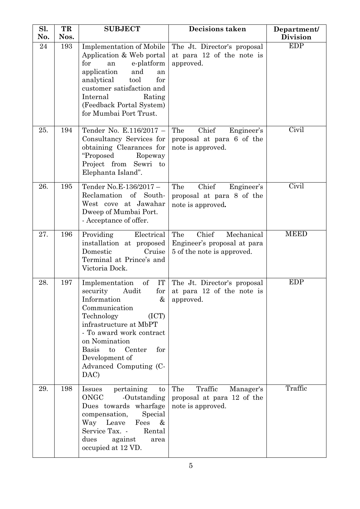| Sl.<br>No. | TR<br>Nos. | <b>SUBJECT</b>                                                                                                                                                                                                                                                                               | <b>Decisions taken</b>                                                                  | Department/<br><b>Division</b> |
|------------|------------|----------------------------------------------------------------------------------------------------------------------------------------------------------------------------------------------------------------------------------------------------------------------------------------------|-----------------------------------------------------------------------------------------|--------------------------------|
| 24         | 193        | <b>Implementation of Mobile</b><br>Application & Web portal<br>e-platform<br>for<br>an<br>application<br>and<br>an<br>analytical<br>tool<br>for<br>customer satisfaction and<br>Internal<br>Rating<br>(Feedback Portal System)<br>for Mumbai Port Trust.                                     | The Jt. Director's proposal<br>at para 12 of the note is<br>approved.                   | <b>EDP</b>                     |
| 25.        | 194        | Tender No. E.116/2017 -<br>Consultancy Services for<br>obtaining Clearances for<br>"Proposed<br>Ropeway<br>Project from<br>Sewri to<br>Elephanta Island".                                                                                                                                    | The<br>Chief<br>Engineer's<br>proposal at para 6 of the<br>note is approved.            | Civil                          |
| 26.        | 195        | Tender No.E-136/2017-<br>Reclamation of South-<br>West cove at Jawahar<br>Dweep of Mumbai Port.<br>- Acceptance of offer.                                                                                                                                                                    | Chief<br>The<br>Engineer's<br>proposal at para 8 of the<br>note is approved.            | Civil                          |
| 27.        | 196        | Providing<br>Electrical<br>installation at proposed<br>Domestic<br>Cruise<br>Terminal at Prince's and<br>Victoria Dock.                                                                                                                                                                      | Chief<br>The<br>Mechanical<br>Engineer's proposal at para<br>5 of the note is approved. | <b>MEED</b>                    |
| 28.        | 197        | Implementation<br>of<br>IT<br>Audit<br>security<br>for $\vert$<br>Information<br>&<br>Communication<br>(ICT)<br>Technology<br>infrastructure at MbPT<br>- To award work contract<br>on Nomination<br><b>Basis</b><br>Center<br>to<br>for<br>Development of<br>Advanced Computing (C-<br>DAC) | The Jt. Director's proposal<br>at para 12 of the note is<br>approved.                   | <b>EDP</b>                     |
| 29.        | 198        | pertaining<br>Issues<br>to<br>ONGC<br>-Outstanding<br>Dues towards wharfage<br>Special<br>compensation,<br>Way Leave<br>Fees<br>$\&$<br>Service Tax. -<br>Rental<br>dues<br>against<br>area<br>occupied at 12 VD.                                                                            | The<br>Traffic<br>Manager's<br>proposal at para 12 of the<br>note is approved.          | Traffic                        |